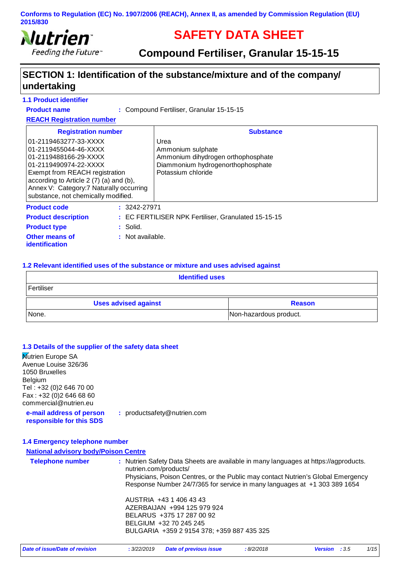

# **SAFETY DATA SHEET**

### **Compound Fertiliser, Granular 15-15-15**

### **SECTION 1: Identification of the substance/mixture and of the company/ undertaking**

#### **1.1 Product identifier**

**Product name**

Compound Fertiliser, Granular 15-15-15 **:**

**REACH Registration number**

| <b>Registration number</b>                                                                                                                                                                                                                                               |                  | <b>Substance</b>                                                                                                           |
|--------------------------------------------------------------------------------------------------------------------------------------------------------------------------------------------------------------------------------------------------------------------------|------------------|----------------------------------------------------------------------------------------------------------------------------|
| l01-2119463277-33-XXXX<br>01-2119455044-46-XXXX<br>01-2119488166-29-XXXX<br>01-2119490974-22-XXXX<br><b>Exempt from REACH registration</b><br>according to Article 2 (7) (a) and (b),<br>Annex V: Category: 7 Naturally occurring<br>substance, not chemically modified. |                  | Urea<br>Ammonium sulphate<br>Ammonium dihydrogen orthophosphate<br>Diammonium hydrogenorthophosphate<br>Potassium chloride |
| <b>Product code</b>                                                                                                                                                                                                                                                      | $: 3242 - 27971$ |                                                                                                                            |
| <b>Product description</b>                                                                                                                                                                                                                                               |                  | : EC FERTILISER NPK Fertiliser, Granulated 15-15-15                                                                        |
| <b>Product type</b>                                                                                                                                                                                                                                                      | $:$ Solid.       |                                                                                                                            |
| <b>Other means of</b><br><i>identification</i>                                                                                                                                                                                                                           | : Not available. |                                                                                                                            |

#### **1.2 Relevant identified uses of the substance or mixture and uses advised against**

| <b>Identified uses</b>      |                        |  |
|-----------------------------|------------------------|--|
| Fertiliser                  |                        |  |
| <b>Uses advised against</b> | <b>Reason</b>          |  |
| None.                       | Non-hazardous product. |  |

#### **1.3 Details of the supplier of the safety data sheet**

**Nutrien Europe SA** Avenue Louise 326/36 1050 Bruxelles Belgium Tel : +32 (0)2 646 70 00 Fax : +32 (0)2 646 68 60 commercial@nutrien.eu

**e-mail address of person responsible for this SDS**

**:** productsafety@nutrien.com

#### **1.4 Emergency telephone number**

### **National advisory body/Poison Centre Telephone number :** Nutrien Safety Data Sheets are available in many languages at https://agproducts. nutrien.com/products/ Physicians, Poison Centres, or the Public may contact Nutrien's Global Emergency Response Number 24/7/365 for service in many languages at +1 303 389 1654 AUSTRIA +43 1 406 43 43 AZERBAIJAN +994 125 979 924 BELARUS +375 17 287 00 92 BELGIUM +32 70 245 245 BULGARIA +359 2 9154 378; +359 887 435 325 *Date of issue/Date of revision* **:** *3/22/2019 Date of previous issue : 8/2/2018 Version : 3.5 1/15*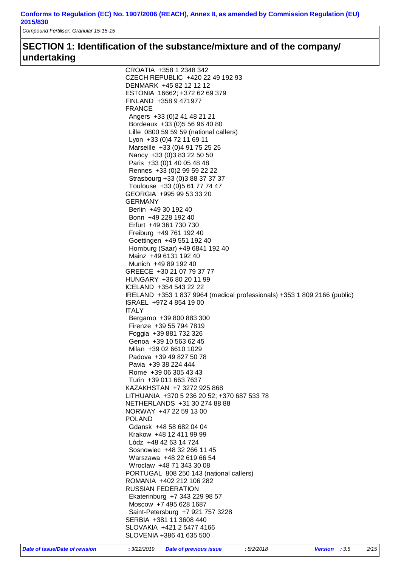*Compound Fertiliser, Granular 15-15-15*

### **SECTION 1: Identification of the substance/mixture and of the company/ undertaking**

| CROATIA +358 1 2348 342                                                  |
|--------------------------------------------------------------------------|
|                                                                          |
| CZECH REPUBLIC +420 22 49 192 93                                         |
| DENMARK +45 82 12 12 12                                                  |
| ESTONIA 16662; +372 62 69 379                                            |
| FINLAND +358 9 471977                                                    |
| <b>FRANCE</b>                                                            |
| Angers +33 (0) 2 41 48 21 21                                             |
|                                                                          |
| Bordeaux +33 (0) 5 56 96 40 80                                           |
| Lille 0800 59 59 59 (national callers)                                   |
| Lyon +33 (0) 4 72 11 69 11                                               |
| Marseille +33 (0)4 91 75 25 25                                           |
| Nancy +33 (0) 3 83 22 50 50                                              |
|                                                                          |
| Paris +33 (0) 1 40 05 48 48                                              |
| Rennes +33 (0) 2 99 59 22 22                                             |
| Strasbourg +33 (0) 3 88 37 37 37                                         |
| Toulouse +33 (0) 5 61 77 74 47                                           |
| GEORGIA +995 99 53 33 20                                                 |
|                                                                          |
| <b>GERMANY</b>                                                           |
| Berlin +49 30 192 40                                                     |
| Bonn +49 228 192 40                                                      |
| Erfurt +49 361 730 730                                                   |
| Freiburg +49 761 192 40                                                  |
| Goettingen +49 551 192 40                                                |
|                                                                          |
| Homburg (Saar) +49 6841 192 40                                           |
| Mainz +49 6131 192 40                                                    |
| Munich +49 89 192 40                                                     |
| GREECE +30 21 07 79 37 77                                                |
| HUNGARY +36 80 20 11 99                                                  |
|                                                                          |
| ICELAND +354 543 22 22                                                   |
| IRELAND +353 1 837 9964 (medical professionals) +353 1 809 2166 (public) |
| ISRAEL +972 4 854 19 00                                                  |
| <b>ITALY</b>                                                             |
| Bergamo +39 800 883 300                                                  |
| Firenze +39 55 794 7819                                                  |
|                                                                          |
| Foggia +39 881 732 326                                                   |
| Genoa +39 10 563 62 45                                                   |
| Milan +39 02 6610 1029                                                   |
| Padova +39 49 827 50 78                                                  |
| Pavia +39 38 224 444                                                     |
|                                                                          |
| Rome +39 06 305 43 43                                                    |
| Turin +39 011 663 7637                                                   |
| KAZAKHSTAN +7 3272 925 868                                               |
| LITHUANIA +370 5 236 20 52; +370 687 533 78                              |
| NETHERLANDS +31 30 274 88 88                                             |
| NORWAY +47 22 59 13 00                                                   |
|                                                                          |
| <b>POLAND</b>                                                            |
| Gdansk +48 58 682 04 04                                                  |
| Krakow +48 12 411 99 99                                                  |
| Lòdz +48 42 63 14 724                                                    |
| Sosnowiec +48 32 266 11 45                                               |
|                                                                          |
| Warszawa +48 22 619 66 54                                                |
| Wroclaw +48 71 343 30 08                                                 |
| PORTUGAL 808 250 143 (national callers)                                  |
| ROMANIA +402 212 106 282                                                 |
|                                                                          |
| <b>RUSSIAN FEDERATION</b>                                                |
| Ekaterinburg +7 343 229 98 57                                            |
| Moscow +7 495 628 1687                                                   |
| Saint-Petersburg +7 921 757 3228                                         |
|                                                                          |
|                                                                          |
| SERBIA +381 11 3608 440                                                  |
| SLOVAKIA +421 2 5477 4166<br>SLOVENIA +386 41 635 500                    |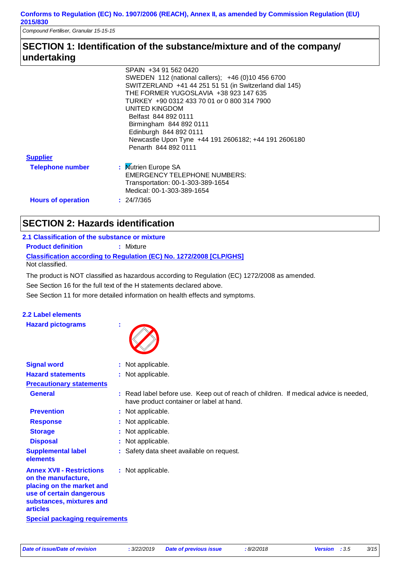*Compound Fertiliser, Granular 15-15-15*

### **SECTION 1: Identification of the substance/mixture and of the company/ undertaking**

|                           | SPAIN +34 91 562 0420                                  |  |
|---------------------------|--------------------------------------------------------|--|
|                           | SWEDEN 112 (national callers); +46 (0)10 456 6700      |  |
|                           | SWITZERLAND +41 44 251 51 51 (in Switzerland dial 145) |  |
|                           | THE FORMER YUGOSLAVIA +38 923 147 635                  |  |
|                           | TURKEY +90 0312 433 70 01 or 0 800 314 7900            |  |
|                           | UNITED KINGDOM                                         |  |
| Belfast 844 892 0111      |                                                        |  |
|                           | Birmingham 844 892 0111                                |  |
|                           | Edinburgh 844 892 0111                                 |  |
|                           | Newcastle Upon Tyne +44 191 2606182; +44 191 2606180   |  |
|                           | Penarth 844 892 0111                                   |  |
| <b>Supplier</b>           |                                                        |  |
| <b>Telephone number</b>   | : Mutrien Europe SA                                    |  |
|                           | <b>EMERGENCY TELEPHONE NUMBERS:</b>                    |  |
|                           | Transportation: 00-1-303-389-1654                      |  |
|                           | Medical: 00-1-303-389-1654                             |  |
| <b>Hours of operation</b> | : 24/7/365                                             |  |

## **SECTION 2: Hazards identification**

#### **2.1 Classification of the substance or mixture Product definition : Mixture**

**Classification according to Regulation (EC) No. 1272/2008 [CLP/GHS]** Not classified.

See Section 11 for more detailed information on health effects and symptoms. See Section 16 for the full text of the H statements declared above. The product is NOT classified as hazardous according to Regulation (EC) 1272/2008 as amended.

# **2.2 Label elements**

**Hazard pictograms :**



| <b>Signal word</b>                                                                                                                                              | : Not applicable.                                                                                                                |
|-----------------------------------------------------------------------------------------------------------------------------------------------------------------|----------------------------------------------------------------------------------------------------------------------------------|
| <b>Hazard statements</b>                                                                                                                                        | : Not applicable.                                                                                                                |
| <b>Precautionary statements</b>                                                                                                                                 |                                                                                                                                  |
| <b>General</b>                                                                                                                                                  | : Read label before use. Keep out of reach of children. If medical advice is needed,<br>have product container or label at hand. |
| <b>Prevention</b>                                                                                                                                               | : Not applicable.                                                                                                                |
| <b>Response</b>                                                                                                                                                 | : Not applicable.                                                                                                                |
| <b>Storage</b>                                                                                                                                                  | : Not applicable.                                                                                                                |
| <b>Disposal</b>                                                                                                                                                 | : Not applicable.                                                                                                                |
| <b>Supplemental label</b><br>elements                                                                                                                           | : Safety data sheet available on request.                                                                                        |
| <b>Annex XVII - Restrictions</b><br>on the manufacture.<br>placing on the market and<br>use of certain dangerous<br>substances, mixtures and<br><b>articles</b> | : Not applicable.                                                                                                                |
| <b>Special packaging requirements</b>                                                                                                                           |                                                                                                                                  |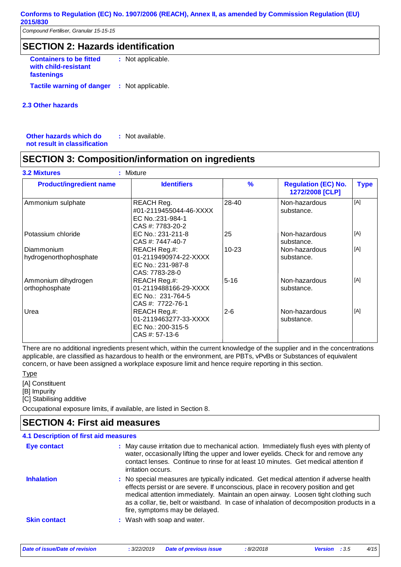*Compound Fertiliser, Granular 15-15-15*

### **SECTION 2: Hazards identification**

**Containers to be fitted with child-resistant fastenings** : Not applicable. **Tactile warning of danger : Not applicable.** 

#### **2.3 Other hazards**

**Other hazards which do : not result in classification** : Not available.

### **SECTION 3: Composition/information on ingredients**

| <b>Product/ingredient name</b>        | <b>Identifiers</b>                                                             | $\frac{9}{6}$ | <b>Regulation (EC) No.</b><br>1272/2008 [CLP] | <b>Type</b> |
|---------------------------------------|--------------------------------------------------------------------------------|---------------|-----------------------------------------------|-------------|
| Ammonium sulphate                     | REACH Reg.<br>#01-2119455044-46-XXXX<br>EC No.:231-984-1<br>CAS #: 7783-20-2   | 28-40         | Non-hazardous<br>substance.                   | [A]         |
| Potassium chloride                    | EC No.: 231-211-8<br>CAS #: 7447-40-7                                          | 25            | Non-hazardous<br>substance.                   | [A}         |
| Diammonium<br>hydrogenorthophosphate  | REACH Reg.#:<br>01-2119490974-22-XXXX<br>EC No.: 231-987-8<br>CAS: 7783-28-0   | $10 - 23$     | Non-hazardous<br>substance.                   | [A]         |
| Ammonium dihydrogen<br>orthophosphate | REACH Reg.#:<br>01-2119488166-29-XXXX<br>EC No.: 231-764-5<br>CAS #: 7722-76-1 | $5 - 16$      | Non-hazardous<br>substance.                   | [A]         |
| Urea                                  | REACH Reg.#:<br>01-2119463277-33-XXXX<br>EC No.: 200-315-5<br>$CAS$ #: 57-13-6 | $2 - 6$       | Non-hazardous<br>substance.                   | [A]         |

There are no additional ingredients present which, within the current knowledge of the supplier and in the concentrations applicable, are classified as hazardous to health or the environment, are PBTs, vPvBs or Substances of equivalent concern, or have been assigned a workplace exposure limit and hence require reporting in this section.

Type

[A] Constituent

[B] Impurity

[C] Stabilising additive

Occupational exposure limits, if available, are listed in Section 8.

### **SECTION 4: First aid measures**

| <b>4.1 Description of first aid measures</b>                                                                                                                                                                                                                                                                                                                                                     |
|--------------------------------------------------------------------------------------------------------------------------------------------------------------------------------------------------------------------------------------------------------------------------------------------------------------------------------------------------------------------------------------------------|
| : May cause irritation due to mechanical action. Immediately flush eyes with plenty of<br>water, occasionally lifting the upper and lower eyelids. Check for and remove any<br>contact lenses. Continue to rinse for at least 10 minutes. Get medical attention if<br>irritation occurs.                                                                                                         |
| : No special measures are typically indicated. Get medical attention if adverse health<br>effects persist or are severe. If unconscious, place in recovery position and get<br>medical attention immediately. Maintain an open airway. Loosen tight clothing such<br>as a collar, tie, belt or waistband. In case of inhalation of decomposition products in a<br>fire, symptoms may be delayed. |
| : Wash with soap and water.                                                                                                                                                                                                                                                                                                                                                                      |
|                                                                                                                                                                                                                                                                                                                                                                                                  |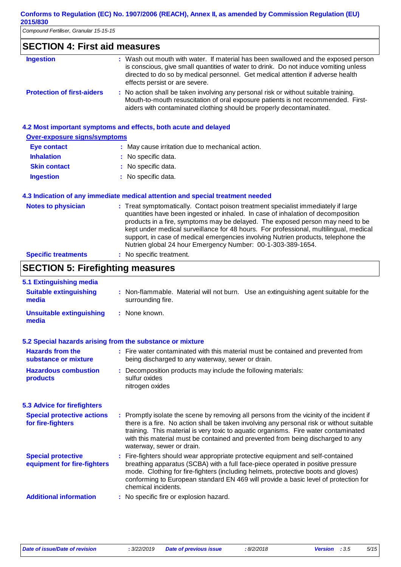*Compound Fertiliser, Granular 15-15-15*

### **SECTION 4: First aid measures**

| <b>Ingestion</b>                  | : Wash out mouth with water. If material has been swallowed and the exposed person<br>is conscious, give small quantities of water to drink. Do not induce vomiting unless<br>directed to do so by medical personnel. Get medical attention if adverse health<br>effects persist or are severe. |
|-----------------------------------|-------------------------------------------------------------------------------------------------------------------------------------------------------------------------------------------------------------------------------------------------------------------------------------------------|
| <b>Protection of first-aiders</b> | : No action shall be taken involving any personal risk or without suitable training.<br>Mouth-to-mouth resuscitation of oral exposure patients is not recommended. First-<br>aiders with contaminated clothing should be properly decontaminated.                                               |

#### **4.2 Most important symptoms and effects, both acute and delayed**

| <b>Over-exposure signs/symptoms</b> |                                                  |  |  |
|-------------------------------------|--------------------------------------------------|--|--|
| Eye contact                         | : May cause irritation due to mechanical action. |  |  |
| <b>Inhalation</b>                   | : No specific data.                              |  |  |

| <b>Skin contact</b> | : No specific data. |
|---------------------|---------------------|
|                     |                     |

**Ingestion** No specific data. **:**

#### **4.3 Indication of any immediate medical attention and special treatment needed**

| <b>Notes to physician</b>  | : Treat symptomatically. Contact poison treatment specialist immediately if large<br>quantities have been ingested or inhaled. In case of inhalation of decomposition<br>products in a fire, symptoms may be delayed. The exposed person may need to be<br>kept under medical surveillance for 48 hours. For professional, multilingual, medical<br>support, in case of medical emergencies involving Nutrien products, telephone the<br>Nutrien global 24 hour Emergency Number: 00-1-303-389-1654. |
|----------------------------|------------------------------------------------------------------------------------------------------------------------------------------------------------------------------------------------------------------------------------------------------------------------------------------------------------------------------------------------------------------------------------------------------------------------------------------------------------------------------------------------------|
| <b>Specific treatments</b> | : No specific treatment.                                                                                                                                                                                                                                                                                                                                                                                                                                                                             |

### **SECTION 5: Firefighting measures**

| 5.1 Extinguishing media                                   |                                                                                                                                                                                                                                                                                                                                                                                               |
|-----------------------------------------------------------|-----------------------------------------------------------------------------------------------------------------------------------------------------------------------------------------------------------------------------------------------------------------------------------------------------------------------------------------------------------------------------------------------|
| <b>Suitable extinguishing</b><br>media                    | : Non-flammable. Material will not burn. Use an extinguishing agent suitable for the<br>surrounding fire.                                                                                                                                                                                                                                                                                     |
| <b>Unsuitable extinguishing</b><br>media                  | : None known.                                                                                                                                                                                                                                                                                                                                                                                 |
| 5.2 Special hazards arising from the substance or mixture |                                                                                                                                                                                                                                                                                                                                                                                               |
| <b>Hazards from the</b><br>substance or mixture           | : Fire water contaminated with this material must be contained and prevented from<br>being discharged to any waterway, sewer or drain.                                                                                                                                                                                                                                                        |
| <b>Hazardous combustion</b><br>products                   | : Decomposition products may include the following materials:<br>sulfur oxides<br>nitrogen oxides                                                                                                                                                                                                                                                                                             |
| <b>5.3 Advice for firefighters</b>                        |                                                                                                                                                                                                                                                                                                                                                                                               |
| <b>Special protective actions</b><br>for fire-fighters    | : Promptly isolate the scene by removing all persons from the vicinity of the incident if<br>there is a fire. No action shall be taken involving any personal risk or without suitable<br>training. This material is very toxic to aquatic organisms. Fire water contaminated<br>with this material must be contained and prevented from being discharged to any<br>waterway, sewer or drain. |
| <b>Special protective</b><br>equipment for fire-fighters  | : Fire-fighters should wear appropriate protective equipment and self-contained<br>breathing apparatus (SCBA) with a full face-piece operated in positive pressure<br>mode. Clothing for fire-fighters (including helmets, protective boots and gloves)<br>conforming to European standard EN 469 will provide a basic level of protection for<br>chemical incidents.                         |
| <b>Additional information</b>                             | : No specific fire or explosion hazard.                                                                                                                                                                                                                                                                                                                                                       |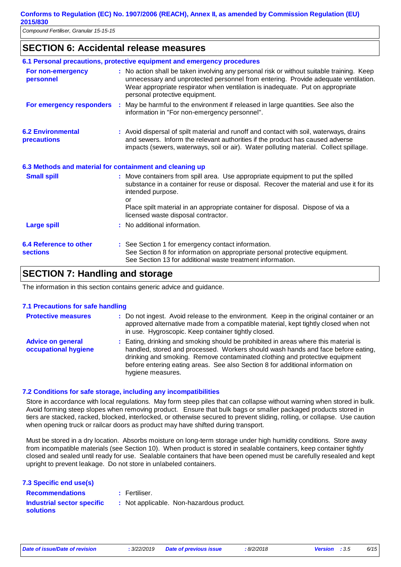### **SECTION 6: Accidental release measures**

|                                                          | 6.1 Personal precautions, protective equipment and emergency procedures                                                                                                                                                                                                                             |
|----------------------------------------------------------|-----------------------------------------------------------------------------------------------------------------------------------------------------------------------------------------------------------------------------------------------------------------------------------------------------|
| For non-emergency<br>personnel                           | : No action shall be taken involving any personal risk or without suitable training. Keep<br>unnecessary and unprotected personnel from entering. Provide adequate ventilation.<br>Wear appropriate respirator when ventilation is inadequate. Put on appropriate<br>personal protective equipment. |
| For emergency responders                                 | : May be harmful to the environment if released in large quantities. See also the<br>information in "For non-emergency personnel".                                                                                                                                                                  |
| <b>6.2 Environmental</b><br>precautions                  | : Avoid dispersal of spilt material and runoff and contact with soil, waterways, drains<br>and sewers. Inform the relevant authorities if the product has caused adverse<br>impacts (sewers, waterways, soil or air). Water polluting material. Collect spillage.                                   |
| 6.3 Methods and material for containment and cleaning up |                                                                                                                                                                                                                                                                                                     |
| <b>Small spill</b>                                       | : Move containers from spill area. Use appropriate equipment to put the spilled<br>substance in a container for reuse or disposal. Recover the material and use it for its<br>intended purpose.<br>or                                                                                               |
|                                                          | Place spilt material in an appropriate container for disposal. Dispose of via a<br>licensed waste disposal contractor.                                                                                                                                                                              |
| <b>Large spill</b>                                       | : No additional information.                                                                                                                                                                                                                                                                        |
| 6.4 Reference to other<br><b>sections</b>                | : See Section 1 for emergency contact information.<br>See Section 8 for information on appropriate personal protective equipment.<br>See Section 13 for additional waste treatment information.                                                                                                     |

### **SECTION 7: Handling and storage**

The information in this section contains generic advice and guidance.

#### **7.1 Precautions for safe handling**

| <b>Protective measures</b>                       | : Do not ingest. Avoid release to the environment. Keep in the original container or an<br>approved alternative made from a compatible material, kept tightly closed when not<br>in use. Hygroscopic. Keep container tightly closed.                                                                                                                          |
|--------------------------------------------------|---------------------------------------------------------------------------------------------------------------------------------------------------------------------------------------------------------------------------------------------------------------------------------------------------------------------------------------------------------------|
| <b>Advice on general</b><br>occupational hygiene | : Eating, drinking and smoking should be prohibited in areas where this material is<br>handled, stored and processed. Workers should wash hands and face before eating,<br>drinking and smoking. Remove contaminated clothing and protective equipment<br>before entering eating areas. See also Section 8 for additional information on<br>hygiene measures. |

#### **7.2 Conditions for safe storage, including any incompatibilities**

Store in accordance with local regulations. May form steep piles that can collapse without warning when stored in bulk. Avoid forming steep slopes when removing product. Ensure that bulk bags or smaller packaged products stored in tiers are stacked, racked, blocked, interlocked, or otherwise secured to prevent sliding, rolling, or collapse. Use caution when opening truck or railcar doors as product may have shifted during transport.

Must be stored in a dry location. Absorbs moisture on long-term storage under high humidity conditions. Store away from incompatible materials (see Section 10). When product is stored in sealable containers, keep container tightly closed and sealed until ready for use. Sealable containers that have been opened must be carefully resealed and kept upright to prevent leakage. Do not store in unlabeled containers.

| 7.3 Specific end use(s) |  |  |  |
|-------------------------|--|--|--|
|-------------------------|--|--|--|

Fertiliser.

**Recommendations : Industrial sector specific : solutions**

: Not applicable. Non-hazardous product.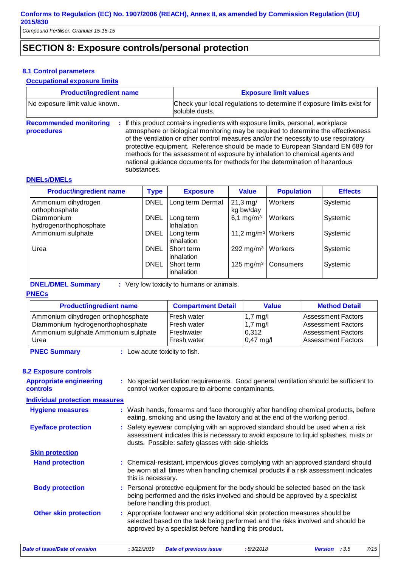### **SECTION 8: Exposure controls/personal protection**

#### **8.1 Control parameters**

#### **Occupational exposure limits**

| <b>Product/ingredient name</b><br>No exposure limit value known. |             | <b>Exposure limit values</b>                                                                                                                                                                                                                                                                                                                                                                                                                                                                                  |  |  |
|------------------------------------------------------------------|-------------|---------------------------------------------------------------------------------------------------------------------------------------------------------------------------------------------------------------------------------------------------------------------------------------------------------------------------------------------------------------------------------------------------------------------------------------------------------------------------------------------------------------|--|--|
|                                                                  |             | Check your local regulations to determine if exposure limits exist for<br>soluble dusts.                                                                                                                                                                                                                                                                                                                                                                                                                      |  |  |
| <b>Recommended monitoring</b><br><b>procedures</b>               | substances. | : If this product contains ingredients with exposure limits, personal, workplace<br>atmosphere or biological monitoring may be required to determine the effectiveness<br>of the ventilation or other control measures and/or the necessity to use respiratory<br>protective equipment. Reference should be made to European Standard EN 689 for<br>methods for the assessment of exposure by inhalation to chemical agents and<br>national guidance documents for methods for the determination of hazardous |  |  |
|                                                                  |             |                                                                                                                                                                                                                                                                                                                                                                                                                                                                                                               |  |  |

#### **DNELs/DMELs**

| <b>Product/ingredient name</b>              | <b>Type</b> | <b>Exposure</b>                | <b>Value</b>                       | <b>Population</b> | <b>Effects</b> |
|---------------------------------------------|-------------|--------------------------------|------------------------------------|-------------------|----------------|
| Ammonium dihydrogen<br>orthophosphate       | <b>DNEL</b> | Long term Dermal               | $21,3 \,\mathrm{mg}/$<br>kg bw/day | Workers           | Systemic       |
| <b>Diammonium</b><br>hydrogenorthophosphate | <b>DNEL</b> | Long term<br><b>Inhalation</b> | 6,1 mg/m <sup>3</sup>              | Workers           | Systemic       |
| Ammonium sulphate                           | <b>DNEL</b> | Long term<br>inhalation        | 11,2 mg/m <sup>3</sup> Workers     |                   | Systemic       |
| Urea                                        | <b>DNEL</b> | Short term<br>inhalation       | 292 mg/m <sup>3</sup>              | Workers           | Systemic       |
|                                             | <b>DNEL</b> | Short term<br>inhalation       | $125 \text{ mg/m}^3$               | Consumers         | Systemic       |

**DNEL/DMEL Summary :** Very low toxicity to humans or animals.

#### **PNECs**

| <b>Product/ingredient name</b>      | <b>Compartment Detail</b> | <b>Value</b>        | <b>Method Detail</b>      |
|-------------------------------------|---------------------------|---------------------|---------------------------|
| Ammonium dihydrogen orthophosphate  | <b>Fresh water</b>        | $1,7 \text{ mg/l}$  | <b>Assessment Factors</b> |
| Diammonium hydrogenorthophosphate   | Fresh water               | $1,7 \text{ mg/l}$  | <b>Assessment Factors</b> |
| Ammonium sulphate Ammonium sulphate | Freshwater                | 0,312               | <b>Assessment Factors</b> |
| Urea                                | Fresh water               | $0,47 \text{ mg}/I$ | <b>Assessment Factors</b> |

**PNEC Summary :** Low acute toxicity to fish.

#### **8.2 Exposure controls**

| <b>Appropriate engineering</b><br><b>controls</b> | : No special ventilation requirements. Good general ventilation should be sufficient to<br>control worker exposure to airborne contaminants.                                                                                  |
|---------------------------------------------------|-------------------------------------------------------------------------------------------------------------------------------------------------------------------------------------------------------------------------------|
| <b>Individual protection measures</b>             |                                                                                                                                                                                                                               |
| <b>Hygiene measures</b>                           | : Wash hands, forearms and face thoroughly after handling chemical products, before<br>eating, smoking and using the lavatory and at the end of the working period.                                                           |
| <b>Eye/face protection</b>                        | : Safety eyewear complying with an approved standard should be used when a risk<br>assessment indicates this is necessary to avoid exposure to liquid splashes, mists or<br>dusts. Possible: safety glasses with side-shields |
| <b>Skin protection</b>                            |                                                                                                                                                                                                                               |
| <b>Hand protection</b>                            | : Chemical-resistant, impervious gloves complying with an approved standard should<br>be worn at all times when handling chemical products if a risk assessment indicates<br>this is necessary.                               |
| <b>Body protection</b>                            | : Personal protective equipment for the body should be selected based on the task<br>being performed and the risks involved and should be approved by a specialist<br>before handling this product.                           |
| <b>Other skin protection</b>                      | : Appropriate footwear and any additional skin protection measures should be<br>selected based on the task being performed and the risks involved and should be<br>approved by a specialist before handling this product.     |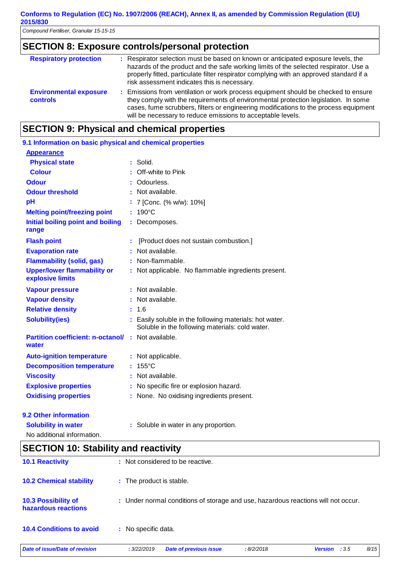*Compound Fertiliser, Granular 15-15-15*

### **SECTION 8: Exposure controls/personal protection**

| <b>Respiratory protection</b>                    | : Respirator selection must be based on known or anticipated exposure levels, the<br>hazards of the product and the safe working limits of the selected respirator. Use a<br>properly fitted, particulate filter respirator complying with an approved standard if a<br>risk assessment indicates this is necessary.            |
|--------------------------------------------------|---------------------------------------------------------------------------------------------------------------------------------------------------------------------------------------------------------------------------------------------------------------------------------------------------------------------------------|
| <b>Environmental exposure</b><br><b>controls</b> | : Emissions from ventilation or work process equipment should be checked to ensure<br>they comply with the requirements of environmental protection legislation. In some<br>cases, fume scrubbers, filters or engineering modifications to the process equipment<br>will be necessary to reduce emissions to acceptable levels. |

### **SECTION 9: Physical and chemical properties**

| 9.1 Information on basic physical and chemical properties          |                                                                                                            |
|--------------------------------------------------------------------|------------------------------------------------------------------------------------------------------------|
| <b>Appearance</b>                                                  |                                                                                                            |
| <b>Physical state</b>                                              | $:$ Solid.                                                                                                 |
| <b>Colour</b>                                                      | : Off-white to Pink                                                                                        |
| <b>Odour</b>                                                       | Odourless.                                                                                                 |
| <b>Odour threshold</b>                                             | : Not available.                                                                                           |
| pH                                                                 | 7 [Conc. (% w/w): 10%]                                                                                     |
| <b>Melting point/freezing point</b>                                | $: 190^{\circ}$ C                                                                                          |
| Initial boiling point and boiling                                  | : Decomposes.                                                                                              |
| range                                                              |                                                                                                            |
| <b>Flash point</b>                                                 | [Product does not sustain combustion.]                                                                     |
| <b>Evaporation rate</b>                                            | : Not available.                                                                                           |
| <b>Flammability (solid, gas)</b>                                   | : Non-flammable.                                                                                           |
| <b>Upper/lower flammability or</b><br>explosive limits             | : Not applicable. No flammable ingredients present.                                                        |
| <b>Vapour pressure</b>                                             | : Not available.                                                                                           |
| <b>Vapour density</b>                                              | : Not available.                                                                                           |
| <b>Relative density</b>                                            | : 1.6                                                                                                      |
| <b>Solubility(ies)</b>                                             | : Easily soluble in the following materials: hot water.<br>Soluble in the following materials: cold water. |
| <b>Partition coefficient: n-octanol/ : Not available.</b><br>water |                                                                                                            |
| <b>Auto-ignition temperature</b>                                   | : Not applicable.                                                                                          |
| <b>Decomposition temperature</b>                                   | $: 155^{\circ}$ C                                                                                          |
| <b>Viscosity</b>                                                   | Not available.                                                                                             |
| <b>Explosive properties</b>                                        | : No specific fire or explosion hazard.                                                                    |
| <b>Oxidising properties</b>                                        | : None. No oxidising ingredients present.                                                                  |
| 9.2 Other information                                              |                                                                                                            |
| <b>Solubility in water</b>                                         | : Soluble in water in any proportion.                                                                      |

No additional information.

| <b>SECTION 10: Stability and reactivity</b>       |                                                                                   |  |  |
|---------------------------------------------------|-----------------------------------------------------------------------------------|--|--|
| <b>10.1 Reactivity</b>                            | : Not considered to be reactive.                                                  |  |  |
| <b>10.2 Chemical stability</b>                    | : The product is stable.                                                          |  |  |
| <b>10.3 Possibility of</b><br>hazardous reactions | : Under normal conditions of storage and use, hazardous reactions will not occur. |  |  |
| <b>10.4 Conditions to avoid</b>                   | : No specific data.                                                               |  |  |

*Date of issue/Date of revision* **:** *3/22/2019 Date of previous issue : 8/2/2018 Version : 3.5 8/15*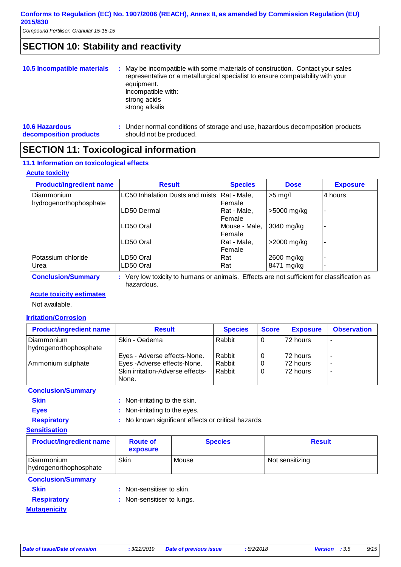### **SECTION 10: Stability and reactivity**

| 10.5 Incompatible materials                     | : May be incompatible with some materials of construction. Contact your sales<br>representative or a metallurgical specialist to ensure compatability with your<br>equipment.<br>Incompatible with:<br>strong acids<br>strong alkalis |
|-------------------------------------------------|---------------------------------------------------------------------------------------------------------------------------------------------------------------------------------------------------------------------------------------|
| <b>10.6 Hazardous</b><br>decomposition products | : Under normal conditions of storage and use, hazardous decomposition products<br>should not be produced.                                                                                                                             |

### **SECTION 11: Toxicological information**

#### **11.1 Information on toxicological effects**

#### **Acute toxicity**

| <b>Product/ingredient name</b>       | <b>Result</b>                   | <b>Species</b>          | <b>Dose</b> | <b>Exposure</b> |
|--------------------------------------|---------------------------------|-------------------------|-------------|-----------------|
| Diammonium<br>hydrogenorthophosphate | LC50 Inhalation Dusts and mists | Rat - Male,<br>Female   | $>5$ mg/l   | 4 hours         |
|                                      | LD50 Dermal                     | Rat - Male,<br>Female   | >5000 mg/kg | -               |
|                                      | LD50 Oral                       | Mouse - Male,<br>Female | 3040 mg/kg  |                 |
|                                      | LD50 Oral                       | Rat - Male,<br>Female   | >2000 mg/kg | -               |
| Potassium chloride                   | LD50 Oral                       | Rat                     | 2600 mg/kg  |                 |
| Urea                                 | LD50 Oral                       | Rat                     | 8471 mg/kg  |                 |

**Conclusion/Summary :** Very low toxicity to humans or animals. Effects are not sufficient for classification as hazardous.

#### **Acute toxicity estimates**

Not available.

#### **Irritation/Corrosion**

| <b>Product/ingredient name</b>       | <b>Result</b>                                                                                           | <b>Species</b>             | <b>Score</b> | <b>Exposure</b>                     | <b>Observation</b>                                   |
|--------------------------------------|---------------------------------------------------------------------------------------------------------|----------------------------|--------------|-------------------------------------|------------------------------------------------------|
| Diammonium<br>hydrogenorthophosphate | Skin - Oedema                                                                                           | Rabbit                     | 0            | 72 hours                            |                                                      |
| Ammonium sulphate                    | Eyes - Adverse effects-None.<br>Eyes-Adverse effects-None.<br>Skin irritation-Adverse effects-<br>None. | Rabbit<br>Rabbit<br>Rabbit | 0<br>0<br>0  | l72 hours<br>l72 hours<br>l72 hours | $\overline{\phantom{a}}$<br>$\overline{\phantom{a}}$ |

**Conclusion/Summary**

**Skin** : Non-irritating to the skin.

**Eyes** : Non-irritating to the eyes.

**Respiratory :** No known significant effects or critical hazards.

#### **Sensitisation**

| <b>Product/ingredient name</b>         | <b>Route of</b><br>exposure | <b>Species</b> | <b>Result</b>   |
|----------------------------------------|-----------------------------|----------------|-----------------|
| l Diammonium<br>hydrogenorthophosphate | Skin                        | Mouse          | Not sensitizing |

#### **Conclusion/Summary**

- 
- **Skin** : Non-sensitiser to skin.
- 
- **Respiratory :** Non-sensitiser to lungs.

**Mutagenicity**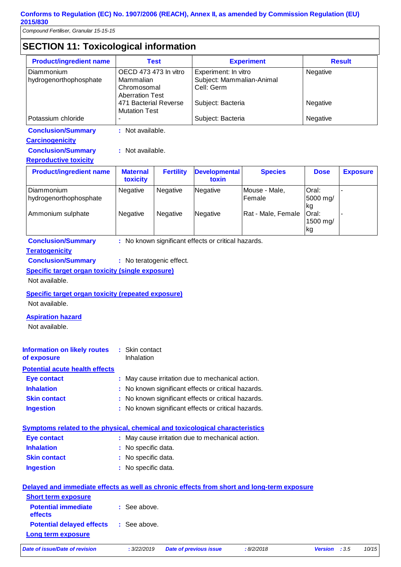*Compound Fertiliser, Granular 15-15-15*

### **SECTION 11: Toxicological information**

| <b>Product/ingredient name</b> | <b>Test</b>                                   | <b>Experiment</b>         | <b>Result</b> |
|--------------------------------|-----------------------------------------------|---------------------------|---------------|
| Diammonium                     | OECD 473 473 In vitro                         | Experiment: In vitro      | Negative      |
| hydrogenorthophosphate         | Mammalian                                     | Subject: Mammalian-Animal |               |
|                                | Chromosomal<br><b>Aberration Test</b>         | Cell: Germ                |               |
|                                | 471 Bacterial Reverse<br><b>Mutation Test</b> | Subject: Bacteria         | Negative      |
| Potassium chloride             |                                               | Subject: Bacteria         | Negative      |

**Conclusion/Summary :** Not available.

#### **Carcinogenicity**

**Conclusion/Summary :** Not available.

#### **Reproductive toxicity**

| <b>Product/ingredient name</b>                            | <b>Maternal</b><br>toxicity        | <b>Fertility</b>                   | <b>Developmental</b><br>toxin | <b>Species</b>                                 | <b>Dose</b>                                           | <b>Exposure</b> |
|-----------------------------------------------------------|------------------------------------|------------------------------------|-------------------------------|------------------------------------------------|-------------------------------------------------------|-----------------|
| Diammonium<br>hydrogenorthophosphate<br>Ammonium sulphate | <b>Negative</b><br><b>Negative</b> | <b>Negative</b><br><b>Negative</b> | Negative<br>Negative          | Mouse - Male,<br>lFemale<br>Rat - Male, Female | Oral:<br>5000 mg/<br>lkg<br>lOral:<br>1500 mg/<br> kg |                 |

**Conclusion/Summary :** No known significant effects or critical hazards.

#### **Teratogenicity**

**Conclusion/Summary :** No teratogenic effect.

**Specific target organ toxicity (single exposure)**

Not available.

#### **Specific target organ toxicity (repeated exposure)**

Not available.

#### **Aspiration hazard**

Not available.

| <b>Information on likely routes</b><br>of exposure | : Skin contact<br>Inhalation                        |
|----------------------------------------------------|-----------------------------------------------------|
| <b>Potential acute health effects</b>              |                                                     |
| Eye contact                                        | : May cause irritation due to mechanical action.    |
| <b>Inhalation</b>                                  | : No known significant effects or critical hazards. |
| <b>Skin contact</b>                                | : No known significant effects or critical hazards. |
| <b>Ingestion</b>                                   | : No known significant effects or critical hazards. |

#### **Symptoms related to the physical, chemical and toxicological characteristics**

| Eye contact         | : May cause irritation due to mechanical action. |
|---------------------|--------------------------------------------------|
| <b>Inhalation</b>   | : No specific data.                              |
| <b>Skin contact</b> | : No specific data.                              |
| <b>Ingestion</b>    | : No specific data.                              |
|                     |                                                  |

| Delayed and immediate effects as well as chronic effects from short and long-term exposure |              |                               |           |                |                |
|--------------------------------------------------------------------------------------------|--------------|-------------------------------|-----------|----------------|----------------|
| <b>Short term exposure</b>                                                                 |              |                               |           |                |                |
| <b>Potential immediate</b><br>effects                                                      | : See above. |                               |           |                |                |
| <b>Potential delayed effects</b>                                                           | : See above. |                               |           |                |                |
| Long term exposure                                                                         |              |                               |           |                |                |
| Date of issue/Date of revision                                                             | : 3/22/2019  | <b>Date of previous issue</b> | :8/2/2018 | <b>Version</b> | 10/15<br>: 3.5 |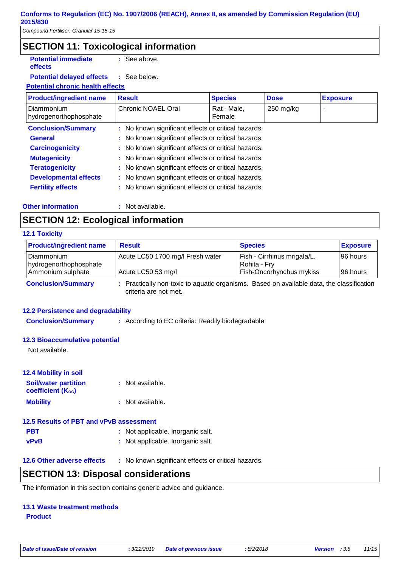**effects**

### **SECTION 11: Toxicological information**

**Potential immediate :** See above.

#### **Potential delayed effects :** : See below.

#### **Potential chronic health effects**

| <b>Product/ingredient name</b>              | <b>Result</b>                                       | <b>Species</b>        | <b>Dose</b> | <b>Exposure</b> |  |
|---------------------------------------------|-----------------------------------------------------|-----------------------|-------------|-----------------|--|
| <b>Diammonium</b><br>hydrogenorthophosphate | Chronic NOAEL Oral                                  | Rat - Male,<br>Female | $250$ mg/kg |                 |  |
| <b>Conclusion/Summary</b>                   | : No known significant effects or critical hazards. |                       |             |                 |  |
| <b>General</b>                              | : No known significant effects or critical hazards. |                       |             |                 |  |
| <b>Carcinogenicity</b>                      | : No known significant effects or critical hazards. |                       |             |                 |  |
| <b>Mutagenicity</b>                         | : No known significant effects or critical hazards. |                       |             |                 |  |
| <b>Teratogenicity</b>                       | : No known significant effects or critical hazards. |                       |             |                 |  |
| <b>Developmental effects</b>                | : No known significant effects or critical hazards. |                       |             |                 |  |
| <b>Fertility effects</b>                    | : No known significant effects or critical hazards. |                       |             |                 |  |

#### **Other information :**

: Not available.

### **SECTION 12: Ecological information**

#### **12.1 Toxicity**

| <b>Product/ingredient name</b>                              | <b>Result</b>                                                                             | <b>Species</b>                                                                 | <b>Exposure</b>        |
|-------------------------------------------------------------|-------------------------------------------------------------------------------------------|--------------------------------------------------------------------------------|------------------------|
| l Diammonium<br>hydrogenorthophosphate<br>Ammonium sulphate | Acute LC50 1700 mg/l Fresh water<br>Acute LC50 53 mg/l                                    | Fish - Cirrhinus mrigala/L.<br>Rohita - Fry<br><b>Fish-Oncorhynchus mykiss</b> | 196 hours<br>196 hours |
| <b>Conclusion/Summary</b>                                   | : Practically non-toxic to aquatic organisms. Based on available data, the classification |                                                                                |                        |

criteria are not met.

#### **12.2 Persistence and degradability**

**Conclusion/Summary :** According to EC criteria: Readily biodegradable

#### **12.3 Bioaccumulative potential**

Not available.

#### **12.4 Mobility in soil**

| <b>Soil/water partition</b><br><b>coefficient (Koc)</b> | : Not available. |
|---------------------------------------------------------|------------------|
| <b>Mobility</b>                                         | : Not available. |

#### **12.5 Results of PBT and vPvB assessment**

| <b>PBT</b>  | : Not applicable. Inorganic salt. |
|-------------|-----------------------------------|
| <b>vPvB</b> | : Not applicable. Inorganic salt. |

#### **12.6 Other adverse effects** : No known significant effects or critical hazards.

### **SECTION 13: Disposal considerations**

The information in this section contains generic advice and guidance.

#### **13.1 Waste treatment methods**

#### **Product**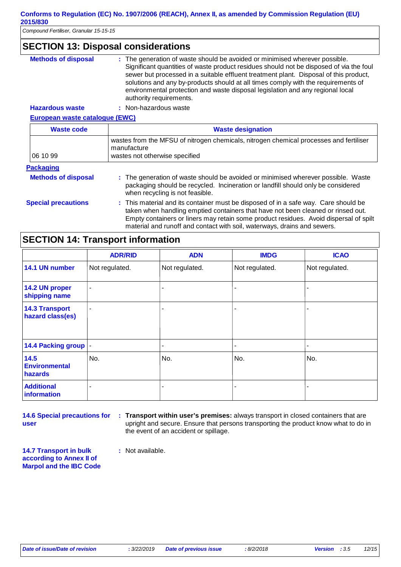*Compound Fertiliser, Granular 15-15-15*

### **SECTION 13: Disposal considerations**

| <b>Methods of disposal</b> | : The generation of waste should be avoided or minimised wherever possible.             |
|----------------------------|-----------------------------------------------------------------------------------------|
|                            | Significant quantities of waste product residues should not be disposed of via the foul |
|                            | sewer but processed in a suitable effluent treatment plant. Disposal of this product,   |
|                            | solutions and any by-products should at all times comply with the requirements of       |
|                            | environmental protection and waste disposal legislation and any regional local          |
|                            | authority requirements.                                                                 |

#### **Hazardous waste :** Non-hazardous waste

#### **European waste catalogue (EWC)**

| <b>Waste code</b>          | <b>Waste designation</b>                                                                                                                                                                                                                                                                                                                     |  |  |
|----------------------------|----------------------------------------------------------------------------------------------------------------------------------------------------------------------------------------------------------------------------------------------------------------------------------------------------------------------------------------------|--|--|
| 06 10 99                   | wastes from the MFSU of nitrogen chemicals, nitrogen chemical processes and fertiliser<br>manufacture<br>wastes not otherwise specified                                                                                                                                                                                                      |  |  |
| <b>Packaging</b>           |                                                                                                                                                                                                                                                                                                                                              |  |  |
| <b>Methods of disposal</b> | : The generation of waste should be avoided or minimised wherever possible. Waste<br>packaging should be recycled. Incineration or landfill should only be considered<br>when recycling is not feasible.                                                                                                                                     |  |  |
| <b>Special precautions</b> | : This material and its container must be disposed of in a safe way. Care should be<br>taken when handling emptied containers that have not been cleaned or rinsed out.<br>Empty containers or liners may retain some product residues. Avoid dispersal of spilt<br>material and runoff and contact with soil, waterways, drains and sewers. |  |  |

### **SECTION 14: Transport information**

|                                           | <b>ADR/RID</b> | <b>ADN</b>               | <b>IMDG</b>    | <b>ICAO</b>    |
|-------------------------------------------|----------------|--------------------------|----------------|----------------|
| 14.1 UN number                            | Not regulated. | Not regulated.           | Not regulated. | Not regulated. |
| 14.2 UN proper<br>shipping name           | $\blacksquare$ | ٠                        |                |                |
| <b>14.3 Transport</b><br>hazard class(es) | $\blacksquare$ | ۰                        |                |                |
| 14.4 Packing group                        |                | $\overline{\phantom{a}}$ | ٠              | ۰              |
| 14.5<br><b>Environmental</b><br>hazards   | No.            | No.                      | No.            | No.            |
| <b>Additional</b><br>information          |                |                          |                |                |

**14.6 Special precautions for user**

**Transport within user's premises:** always transport in closed containers that are **:** upright and secure. Ensure that persons transporting the product know what to do in the event of an accident or spillage.

**14.7 Transport in bulk according to Annex II of Marpol and the IBC Code** **:** Not available.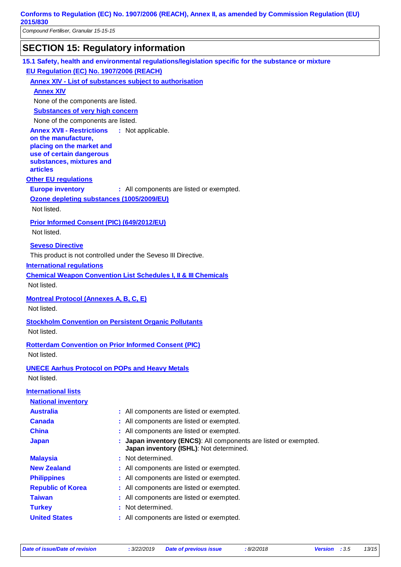*Compound Fertiliser, Granular 15-15-15*

### **SECTION 15: Regulatory information**

**15.1 Safety, health and environmental regulations/legislation specific for the substance or mixture**

**EU Regulation (EC) No. 1907/2006 (REACH)**

**Annex XIV - List of substances subject to authorisation**

**Annex XIV**

None of the components are listed.

**Substances of very high concern**

None of the components are listed.

**Annex XVII - Restrictions** : Not applicable.

**on the manufacture, placing on the market and use of certain dangerous substances, mixtures and articles**

#### **Other EU regulations**

**Europe inventory** : All components are listed or exempted.

**Ozone depleting substances (1005/2009/EU)**

Not listed.

#### **Prior Informed Consent (PIC) (649/2012/EU)**

Not listed.

#### **Seveso Directive**

This product is not controlled under the Seveso III Directive.

#### **International regulations**

**Chemical Weapon Convention List Schedules I, II & III Chemicals**

Not listed.

**Montreal Protocol (Annexes A, B, C, E)**

Not listed.

**Stockholm Convention on Persistent Organic Pollutants** Not listed.

**Rotterdam Convention on Prior Informed Consent (PIC)** Not listed.

**UNECE Aarhus Protocol on POPs and Heavy Metals** Not listed.

| <b>International lists</b> |                                                                                                             |
|----------------------------|-------------------------------------------------------------------------------------------------------------|
| <b>National inventory</b>  |                                                                                                             |
| <b>Australia</b>           | : All components are listed or exempted.                                                                    |
| <b>Canada</b>              | : All components are listed or exempted.                                                                    |
| <b>China</b>               | : All components are listed or exempted.                                                                    |
| <b>Japan</b>               | : Japan inventory (ENCS): All components are listed or exempted.<br>Japan inventory (ISHL): Not determined. |
| <b>Malaysia</b>            | : Not determined.                                                                                           |
| <b>New Zealand</b>         | : All components are listed or exempted.                                                                    |
| <b>Philippines</b>         | : All components are listed or exempted.                                                                    |
| <b>Republic of Korea</b>   | : All components are listed or exempted.                                                                    |
| <b>Taiwan</b>              | : All components are listed or exempted.                                                                    |
| <b>Turkey</b>              | : Not determined.                                                                                           |
| <b>United States</b>       | : All components are listed or exempted.                                                                    |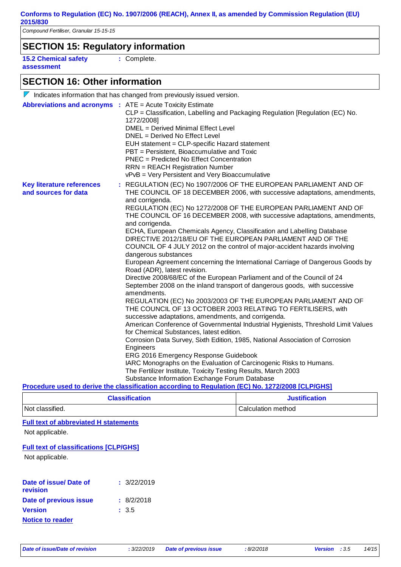### **SECTION 15: Regulatory information**

**15.2 Chemical safety assessment**

**:** Complete.

### **SECTION 16: Other information**

|                                                                   | $\nabla$ Indicates information that has changed from previously issued version.                                                                                                                                                                                                                                                                                                                                                                                                                                                                                                                                                                                                                                                                                                                                                                                                                                                                                                                                                                                                                                                                                                                                                                                                                                                                                                                                                                                                                                                                                                                                                          |
|-------------------------------------------------------------------|------------------------------------------------------------------------------------------------------------------------------------------------------------------------------------------------------------------------------------------------------------------------------------------------------------------------------------------------------------------------------------------------------------------------------------------------------------------------------------------------------------------------------------------------------------------------------------------------------------------------------------------------------------------------------------------------------------------------------------------------------------------------------------------------------------------------------------------------------------------------------------------------------------------------------------------------------------------------------------------------------------------------------------------------------------------------------------------------------------------------------------------------------------------------------------------------------------------------------------------------------------------------------------------------------------------------------------------------------------------------------------------------------------------------------------------------------------------------------------------------------------------------------------------------------------------------------------------------------------------------------------------|
| <b>Abbreviations and acronyms : ATE = Acute Toxicity Estimate</b> | CLP = Classification, Labelling and Packaging Regulation [Regulation (EC) No.<br>1272/2008]<br>DMEL = Derived Minimal Effect Level<br>DNEL = Derived No Effect Level<br>EUH statement = CLP-specific Hazard statement<br>PBT = Persistent, Bioaccumulative and Toxic<br><b>PNEC</b> = Predicted No Effect Concentration<br><b>RRN</b> = REACH Registration Number<br>vPvB = Very Persistent and Very Bioaccumulative                                                                                                                                                                                                                                                                                                                                                                                                                                                                                                                                                                                                                                                                                                                                                                                                                                                                                                                                                                                                                                                                                                                                                                                                                     |
| <b>Key literature references</b><br>and sources for data          | : REGULATION (EC) No 1907/2006 OF THE EUROPEAN PARLIAMENT AND OF<br>THE COUNCIL OF 18 DECEMBER 2006, with successive adaptations, amendments,<br>and corrigenda.<br>REGULATION (EC) No 1272/2008 OF THE EUROPEAN PARLIAMENT AND OF<br>THE COUNCIL OF 16 DECEMBER 2008, with successive adaptations, amendments,<br>and corrigenda.<br>ECHA, European Chemicals Agency, Classification and Labelling Database<br>DIRECTIVE 2012/18/EU OF THE EUROPEAN PARLIAMENT AND OF THE<br>COUNCIL OF 4 JULY 2012 on the control of major-accident hazards involving<br>dangerous substances<br>European Agreement concerning the International Carriage of Dangerous Goods by<br>Road (ADR), latest revision.<br>Directive 2008/68/EC of the European Parliament and of the Council of 24<br>September 2008 on the inland transport of dangerous goods, with successive<br>amendments.<br>REGULATION (EC) No 2003/2003 OF THE EUROPEAN PARLIAMENT AND OF<br>THE COUNCIL OF 13 OCTOBER 2003 RELATING TO FERTILISERS, with<br>successive adaptations, amendments, and corrigenda.<br>American Conference of Governmental Industrial Hygienists, Threshold Limit Values<br>for Chemical Substances, latest edition.<br>Corrosion Data Survey, Sixth Edition, 1985, National Association of Corrosion<br>Engineers<br>ERG 2016 Emergency Response Guidebook<br>IARC Monographs on the Evaluation of Carcinogenic Risks to Humans.<br>The Fertilizer Institute, Toxicity Testing Results, March 2003<br>Substance Information Exchange Forum Database<br>Procedure used to derive the classification according to Regulation (EC) No. 1272/2008 [CLP/GHS] |
|                                                                   |                                                                                                                                                                                                                                                                                                                                                                                                                                                                                                                                                                                                                                                                                                                                                                                                                                                                                                                                                                                                                                                                                                                                                                                                                                                                                                                                                                                                                                                                                                                                                                                                                                          |

| <b>Classification</b> | <b>Justification</b> |  |
|-----------------------|----------------------|--|
| Not classified.       | Calculation method   |  |

#### **Full text of abbreviated H statements**

Not applicable.

#### **Full text of classifications [CLP/GHS]**

Not applicable.

| Date of issue/ Date of<br>revision | : 3/22/2019 |
|------------------------------------|-------------|
| Date of previous issue             | : 8/2/2018  |
| <b>Version</b>                     | : 3.5       |
| <b>Notice to reader</b>            |             |